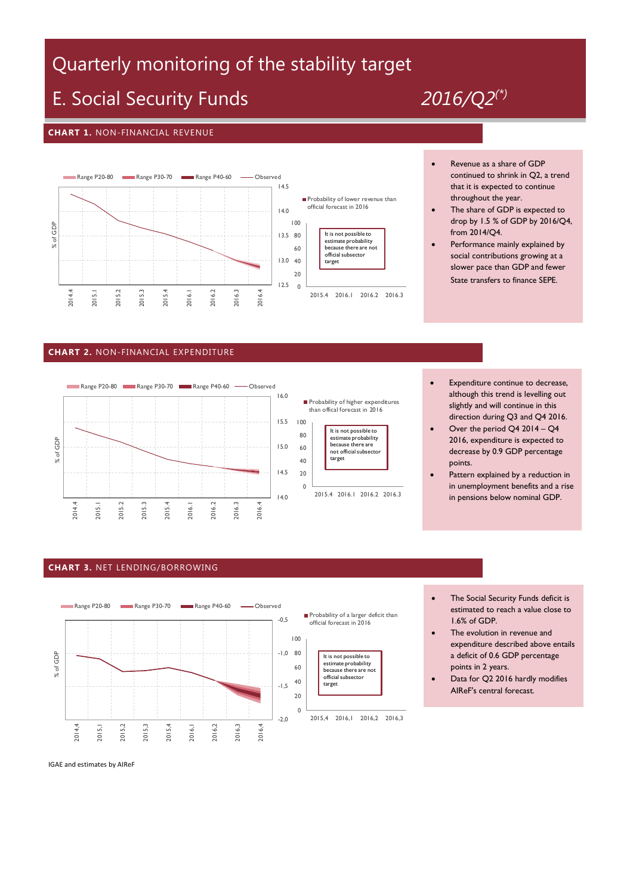# Quarterly monitoring of the stability target

## E. Social Security Funds *2016/Q2(\*)*

#### **CHART 1.** NON-FINANCIAL REVENUE



- Revenue as a share of GDP continued to shrink in Q2, a trend that it is expected to continue throughout the year.
- The share of GDP is expected to drop by 1.5 % of GDP by 2016/Q4, from 2014/Q4.
- Performance mainly explained by social contributions growing at a slower pace than GDP and fewer State transfers to finance SEPE.

#### **CHART 2.** NON-FINANCIAL EXPENDITURE





- Expenditure continue to decrease, although this trend is levelling out slightly and will continue in this direction during Q3 and Q4 2016.
- Over the period Q4 2014 Q4 2016, expenditure is expected to decrease by 0.9 GDP percentage points.
- Pattern explained by a reduction in in unemployment benefits and a rise in pensions below nominal GDP.

#### **CHART 3.** NET LENDING/BORROWING



- The Social Security Funds deficit is estimated to reach a value close to 1.6% of GDP.
- The evolution in revenue and expenditure described above entails a deficit of 0.6 GDP percentage points in 2 years.
- Data for Q2 2016 hardly modifies AIReF's central forecast.

IGAE and estimates by AIReF